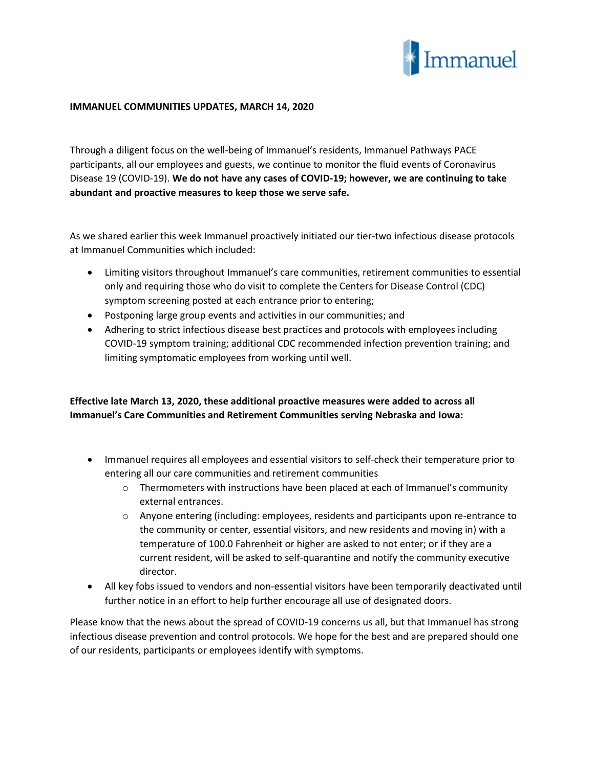

## **IMMANUEL COMMUNITIES UPDATES, MARCH 14, 2020**

Through a diligent focus on the well-being of Immanuel's residents, Immanuel Pathways PACE participants, all our employees and guests, we continue to monitor the fluid events of Coronavirus Disease 19 (COVID-19). **We do not have any cases of COVID-19; however, we are continuing to take abundant and proactive measures to keep those we serve safe.**

As we shared earlier this week Immanuel proactively initiated our tier-two infectious disease protocols at Immanuel Communities which included:

- Limiting visitors throughout Immanuel's care communities, retirement communities to essential only and requiring those who do visit to complete the Centers for Disease Control (CDC) symptom screening posted at each entrance prior to entering;
- Postponing large group events and activities in our communities; and
- Adhering to strict infectious disease best practices and protocols with employees including COVID-19 symptom training; additional CDC recommended infection prevention training; and limiting symptomatic employees from working until well.

## **Effective late March 13, 2020, these additional proactive measures were added to across all Immanuel's Care Communities and Retirement Communities serving Nebraska and Iowa:**

- Immanuel requires all employees and essential visitors to self-check their temperature prior to entering all our care communities and retirement communities
	- $\circ$  Thermometers with instructions have been placed at each of Immanuel's community external entrances.
	- o Anyone entering (including: employees, residents and participants upon re-entrance to the community or center, essential visitors, and new residents and moving in) with a temperature of 100.0 Fahrenheit or higher are asked to not enter; or if they are a current resident, will be asked to self-quarantine and notify the community executive director.
- All key fobs issued to vendors and non-essential visitors have been temporarily deactivated until further notice in an effort to help further encourage all use of designated doors.

Please know that the news about the spread of COVID-19 concerns us all, but that Immanuel has strong infectious disease prevention and control protocols. We hope for the best and are prepared should one of our residents, participants or employees identify with symptoms.